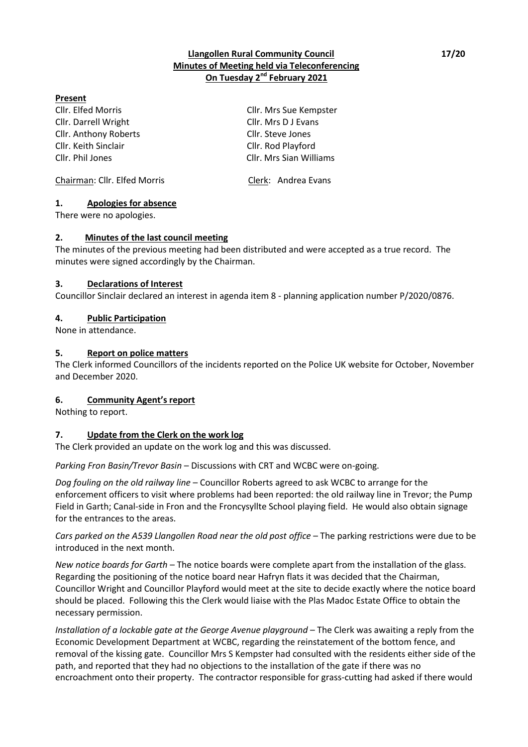## **Llangollen Rural Community Council 17/20 Minutes of Meeting held via Teleconferencing On Tuesday 2 nd February 2021**

### **Present**

Cllr. Elfed Morris Cllr. Mrs Sue Kempster Cllr. Darrell Wright Cllr. Mrs D J Evans Cllr. Anthony Roberts Cllr. Steve Jones Cllr. Keith Sinclair Cllr. Rod Playford Cllr. Phil Jones Cllr. Mrs Sian Williams

Chairman: Cllr. Elfed Morris Clerk: Andrea Evans

### **1. Apologies for absence**

There were no apologies.

#### **2. Minutes of the last council meeting**

The minutes of the previous meeting had been distributed and were accepted as a true record. The minutes were signed accordingly by the Chairman.

### **3. Declarations of Interest**

Councillor Sinclair declared an interest in agenda item 8 - planning application number P/2020/0876.

### **4. Public Participation**

None in attendance.

### **5. Report on police matters**

The Clerk informed Councillors of the incidents reported on the Police UK website for October, November and December 2020.

#### **6. Community Agent's report**

Nothing to report.

## **7. Update from the Clerk on the work log**

The Clerk provided an update on the work log and this was discussed.

*Parking Fron Basin/Trevor Basin* – Discussions with CRT and WCBC were on-going.

*Dog fouling on the old railway line* – Councillor Roberts agreed to ask WCBC to arrange for the enforcement officers to visit where problems had been reported: the old railway line in Trevor; the Pump Field in Garth; Canal-side in Fron and the Froncysyllte School playing field. He would also obtain signage for the entrances to the areas.

*Cars parked on the A539 Llangollen Road near the old post office* – The parking restrictions were due to be introduced in the next month.

*New notice boards for Garth* – The notice boards were complete apart from the installation of the glass. Regarding the positioning of the notice board near Hafryn flats it was decided that the Chairman, Councillor Wright and Councillor Playford would meet at the site to decide exactly where the notice board should be placed. Following this the Clerk would liaise with the Plas Madoc Estate Office to obtain the necessary permission.

*Installation of a lockable gate at the George Avenue playground* – The Clerk was awaiting a reply from the Economic Development Department at WCBC, regarding the reinstatement of the bottom fence, and removal of the kissing gate. Councillor Mrs S Kempster had consulted with the residents either side of the path, and reported that they had no objections to the installation of the gate if there was no encroachment onto their property. The contractor responsible for grass-cutting had asked if there would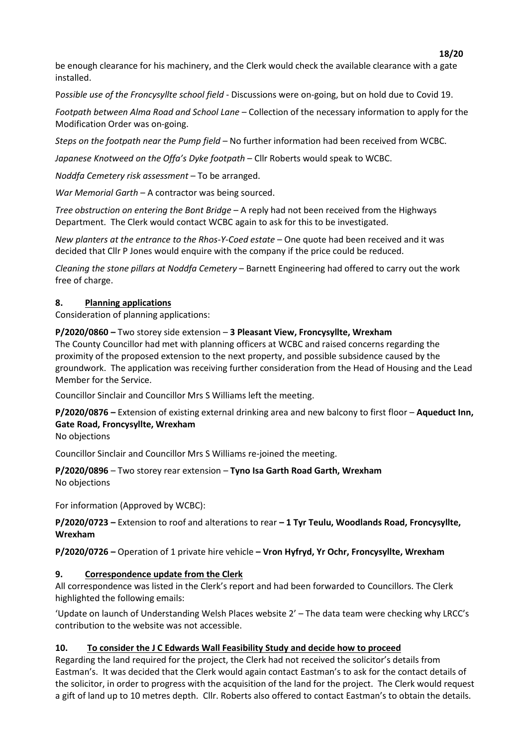be enough clearance for his machinery, and the Clerk would check the available clearance with a gate installed.

P*ossible use of the Froncysyllte school field* - Discussions were on-going, but on hold due to Covid 19.

*Footpath between Alma Road and School Lane* – Collection of the necessary information to apply for the Modification Order was on-going.

*Steps on the footpath near the Pump field* – No further information had been received from WCBC.

*Japanese Knotweed on the Offa's Dyke footpath* – Cllr Roberts would speak to WCBC.

*Noddfa Cemetery risk assessment –* To be arranged.

*War Memorial Garth* – A contractor was being sourced.

*Tree obstruction on entering the Bont Bridge* – A reply had not been received from the Highways Department. The Clerk would contact WCBC again to ask for this to be investigated.

*New planters at the entrance to the Rhos-Y-Coed estate* – One quote had been received and it was decided that Cllr P Jones would enquire with the company if the price could be reduced.

*Cleaning the stone pillars at Noddfa Cemetery* – Barnett Engineering had offered to carry out the work free of charge.

### **8. Planning applications**

Consideration of planning applications:

**P/2020/0860 –** Two storey side extension – **3 Pleasant View, Froncysyllte, Wrexham** The County Councillor had met with planning officers at WCBC and raised concerns regarding the proximity of the proposed extension to the next property, and possible subsidence caused by the groundwork. The application was receiving further consideration from the Head of Housing and the Lead Member for the Service.

Councillor Sinclair and Councillor Mrs S Williams left the meeting.

**P/2020/0876 –** Extension of existing external drinking area and new balcony to first floor – **Aqueduct Inn, Gate Road, Froncysyllte, Wrexham**

No objections

Councillor Sinclair and Councillor Mrs S Williams re-joined the meeting.

**P/2020/0896** – Two storey rear extension – **Tyno Isa Garth Road Garth, Wrexham** No objections

For information (Approved by WCBC):

**P/2020/0723 –** Extension to roof and alterations to rear **– 1 Tyr Teulu, Woodlands Road, Froncysyllte, Wrexham**

**P/2020/0726 –** Operation of 1 private hire vehicle **– Vron Hyfryd, Yr Ochr, Froncysyllte, Wrexham**

## **9. Correspondence update from the Clerk**

All correspondence was listed in the Clerk's report and had been forwarded to Councillors. The Clerk highlighted the following emails:

'Update on launch of Understanding Welsh Places website 2' – The data team were checking why LRCC's contribution to the website was not accessible.

## **10. To consider the J C Edwards Wall Feasibility Study and decide how to proceed**

Regarding the land required for the project, the Clerk had not received the solicitor's details from Eastman's. It was decided that the Clerk would again contact Eastman's to ask for the contact details of the solicitor, in order to progress with the acquisition of the land for the project. The Clerk would request a gift of land up to 10 metres depth. Cllr. Roberts also offered to contact Eastman's to obtain the details.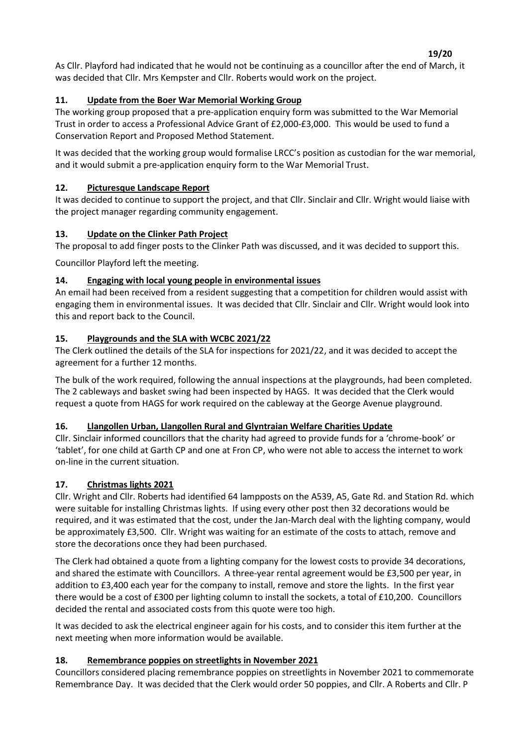As Cllr. Playford had indicated that he would not be continuing as a councillor after the end of March, it was decided that Cllr. Mrs Kempster and Cllr. Roberts would work on the project.

# **11. Update from the Boer War Memorial Working Group**

The working group proposed that a pre-application enquiry form was submitted to the War Memorial Trust in order to access a Professional Advice Grant of £2,000-£3,000. This would be used to fund a Conservation Report and Proposed Method Statement.

It was decided that the working group would formalise LRCC's position as custodian for the war memorial, and it would submit a pre-application enquiry form to the War Memorial Trust.

## **12. Picturesque Landscape Report**

It was decided to continue to support the project, and that Cllr. Sinclair and Cllr. Wright would liaise with the project manager regarding community engagement.

## **13. Update on the Clinker Path Project**

The proposal to add finger posts to the Clinker Path was discussed, and it was decided to support this.

Councillor Playford left the meeting.

## **14. Engaging with local young people in environmental issues**

An email had been received from a resident suggesting that a competition for children would assist with engaging them in environmental issues. It was decided that Cllr. Sinclair and Cllr. Wright would look into this and report back to the Council.

## **15. Playgrounds and the SLA with WCBC 2021/22**

The Clerk outlined the details of the SLA for inspections for 2021/22, and it was decided to accept the agreement for a further 12 months.

The bulk of the work required, following the annual inspections at the playgrounds, had been completed. The 2 cableways and basket swing had been inspected by HAGS. It was decided that the Clerk would request a quote from HAGS for work required on the cableway at the George Avenue playground.

# **16. Llangollen Urban, Llangollen Rural and Glyntraian Welfare Charities Update**

Cllr. Sinclair informed councillors that the charity had agreed to provide funds for a 'chrome-book' or 'tablet', for one child at Garth CP and one at Fron CP, who were not able to access the internet to work on-line in the current situation.

# **17. Christmas lights 2021**

Cllr. Wright and Cllr. Roberts had identified 64 lampposts on the A539, A5, Gate Rd. and Station Rd. which were suitable for installing Christmas lights. If using every other post then 32 decorations would be required, and it was estimated that the cost, under the Jan-March deal with the lighting company, would be approximately £3,500. Cllr. Wright was waiting for an estimate of the costs to attach, remove and store the decorations once they had been purchased.

The Clerk had obtained a quote from a lighting company for the lowest costs to provide 34 decorations, and shared the estimate with Councillors. A three-year rental agreement would be £3,500 per year, in addition to £3,400 each year for the company to install, remove and store the lights. In the first year there would be a cost of £300 per lighting column to install the sockets, a total of £10,200. Councillors decided the rental and associated costs from this quote were too high.

It was decided to ask the electrical engineer again for his costs, and to consider this item further at the next meeting when more information would be available.

# **18. Remembrance poppies on streetlights in November 2021**

Councillors considered placing remembrance poppies on streetlights in November 2021 to commemorate Remembrance Day. It was decided that the Clerk would order 50 poppies, and Cllr. A Roberts and Cllr. P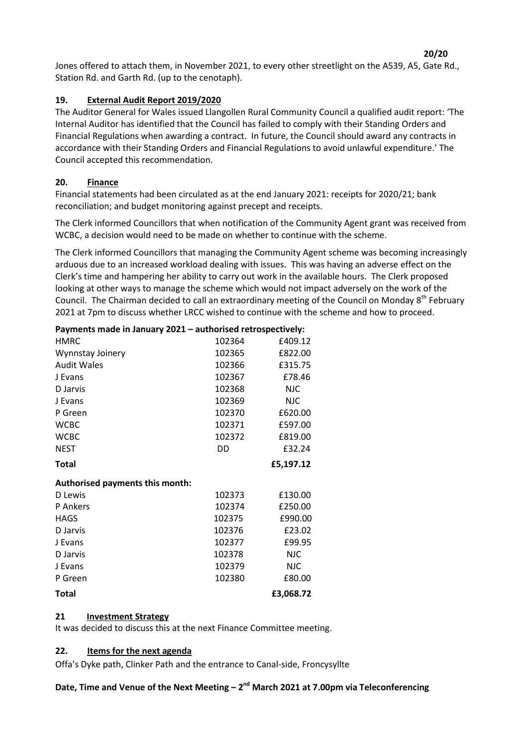Jones offered to attach them, in November 2021, to every other streetlight on the A539, A5, Gate Rd., Station Rd. and Garth Rd. (up to the cenotaph).

## **19. External Audit Report 2019/2020**

The Auditor General for Wales issued Llangollen Rural Community Council a qualified audit report: 'The Internal Auditor has identified that the Council has failed to comply with their Standing Orders and Financial Regulations when awarding a contract. In future, the Council should award any contracts in accordance with their Standing Orders and Financial Regulations to avoid unlawful expenditure.' The Council accepted this recommendation.

## **20. Finance**

Financial statements had been circulated as at the end January 2021: receipts for 2020/21; bank reconciliation; and budget monitoring against precept and receipts.

The Clerk informed Councillors that when notification of the Community Agent grant was received from WCBC, a decision would need to be made on whether to continue with the scheme.

The Clerk informed Councillors that managing the Community Agent scheme was becoming increasingly arduous due to an increased workload dealing with issues. This was having an adverse effect on the Clerk's time and hampering her ability to carry out work in the available hours. The Clerk proposed looking at other ways to manage the scheme which would not impact adversely on the work of the Council. The Chairman decided to call an extraordinary meeting of the Council on Monday 8<sup>th</sup> February 2021 at 7pm to discuss whether LRCC wished to continue with the scheme and how to proceed.

| Payments made in January 2021 - authorised retrospectively: |        |            |
|-------------------------------------------------------------|--------|------------|
| <b>HMRC</b>                                                 | 102364 | £409.12    |
| Wynnstay Joinery                                            | 102365 | £822.00    |
| <b>Audit Wales</b>                                          | 102366 | £315.75    |
| J Evans                                                     | 102367 | £78.46     |
| D Jarvis                                                    | 102368 | <b>NJC</b> |
| J Evans                                                     | 102369 | <b>NJC</b> |
| P Green                                                     | 102370 | £620.00    |
| <b>WCBC</b>                                                 | 102371 | £597.00    |
| <b>WCBC</b>                                                 | 102372 | £819.00    |
| <b>NEST</b>                                                 | DD     | £32.24     |
| <b>Total</b>                                                |        | £5,197.12  |
|                                                             |        |            |
| Authorised payments this month:                             |        |            |
| D Lewis                                                     | 102373 | £130.00    |
| P Ankers                                                    | 102374 | £250.00    |
| <b>HAGS</b>                                                 | 102375 | £990.00    |
| D Jarvis                                                    | 102376 | £23.02     |
| J Evans                                                     | 102377 | £99.95     |
| D Jarvis                                                    | 102378 | NJC.       |
| J Evans                                                     | 102379 | <b>NJC</b> |
| P Green                                                     | 102380 | £80.00     |

## **21 Investment Strategy**

It was decided to discuss this at the next Finance Committee meeting.

## **22. Items for the next agenda**

Offa's Dyke path, Clinker Path and the entrance to Canal-side, Froncysyllte

Date, Time and Venue of the Next Meeting – 2<sup>nd</sup> March 2021 at 7.00pm via Teleconferencing